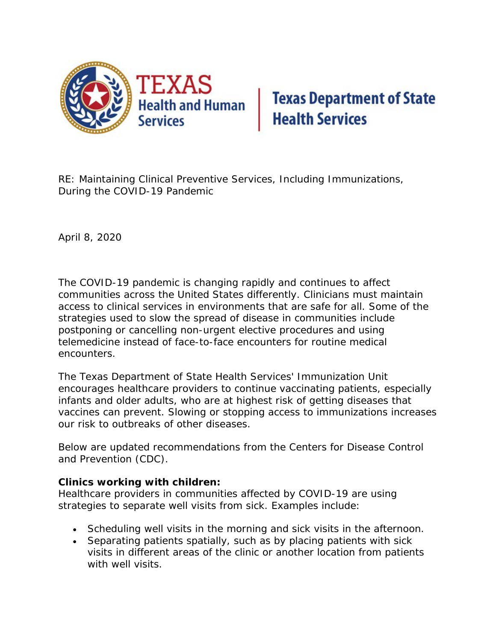

## **Texas Department of State<br>Health Services**

RE: Maintaining Clinical Preventive Services, Including Immunizations, During the COVID-19 Pandemic

April 8, 2020

The COVID-19 pandemic is changing rapidly and continues to affect communities across the United States differently. Clinicians must maintain access to clinical services in environments that are safe for all. Some of the strategies used to slow the spread of disease in communities include postponing or cancelling non-urgent elective procedures and using telemedicine instead of face-to-face encounters for routine medical encounters.

The Texas Department of State Health Services' Immunization Unit encourages healthcare providers to continue vaccinating patients, especially infants and older adults, who are at highest risk of getting diseases that vaccines can prevent. Slowing or stopping access to immunizations increases our risk to outbreaks of other diseases.

Below are updated recommendations from the Centers for Disease Control and Prevention (CDC).

## **Clinics working with children:**

Healthcare providers in communities affected by COVID-19 are using strategies to separate well visits from sick. Examples include:

- Scheduling well visits in the morning and sick visits in the afternoon.
- Separating patients spatially, such as by placing patients with sick visits in different areas of the clinic or another location from patients with well visits.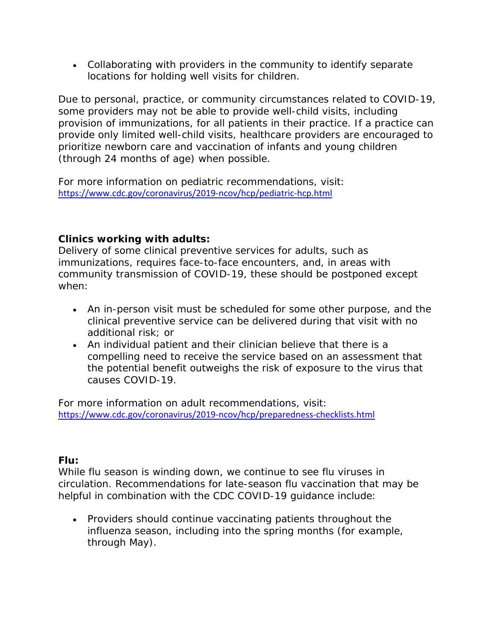• Collaborating with providers in the community to identify separate locations for holding well visits for children.

Due to personal, practice, or community circumstances related to COVID-19, some providers may not be able to provide well-child visits, including provision of immunizations, for all patients in their practice. If a practice can provide only limited well-child visits, healthcare providers are encouraged to prioritize newborn care and vaccination of infants and young children (through 24 months of age) when possible.

For more information on pediatric recommendations, visit: [https://www.cdc.gov/coronavirus/2019-ncov/hcp/pediatric-hcp.html](https://lnks.gd/l/eyJhbGciOiJIUzI1NiJ9.eyJidWxsZXRpbl9saW5rX2lkIjoxMDAsInVyaSI6ImJwMjpjbGljayIsImJ1bGxldGluX2lkIjoiMjAyMDA0MDguMTk5MTk3NTEiLCJ1cmwiOiJodHRwczovL3d3dy5jZGMuZ292L2Nvcm9uYXZpcnVzLzIwMTktbmNvdi9oY3AvcGVkaWF0cmljLWhjcC5odG1sIn0.tw2A2dm7OF3HYJ4YV4ZVB3WsPHT4RWAc2MW-gpgtwFs/br/77181378676-l)

## **Clinics working with adults:**

Delivery of some clinical preventive services for adults, such as immunizations, requires face-to-face encounters, and, in areas with community transmission of COVID-19, these should be postponed except when:

- An in-person visit must be scheduled for some other purpose, and the clinical preventive service can be delivered during that visit with no additional risk; or
- An individual patient and their clinician believe that there is a compelling need to receive the service based on an assessment that the potential benefit outweighs the risk of exposure to the virus that causes COVID-19.

For more information on adult recommendations, visit: [https://www.cdc.gov/coronavirus/2019-ncov/hcp/preparedness-checklists.html](https://lnks.gd/l/eyJhbGciOiJIUzI1NiJ9.eyJidWxsZXRpbl9saW5rX2lkIjoxMDEsInVyaSI6ImJwMjpjbGljayIsImJ1bGxldGluX2lkIjoiMjAyMDA0MDguMTk5MTk3NTEiLCJ1cmwiOiJodHRwczovL3d3dy5jZGMuZ292L2Nvcm9uYXZpcnVzLzIwMTktbmNvdi9oY3AvcHJlcGFyZWRuZXNzLWNoZWNrbGlzdHMuaHRtbCJ9.lPCSrjeOrSXSSp8zNfMCh_OaUH2-EVUdLVceNGwIEUA/br/77181378676-l)

## **Flu:**

While flu season is winding down, we continue to see flu viruses in circulation. Recommendations for late-season flu vaccination that may be helpful in combination with the CDC COVID-19 guidance include:

• Providers should continue vaccinating patients throughout the influenza season, including into the spring months (for example, through May).